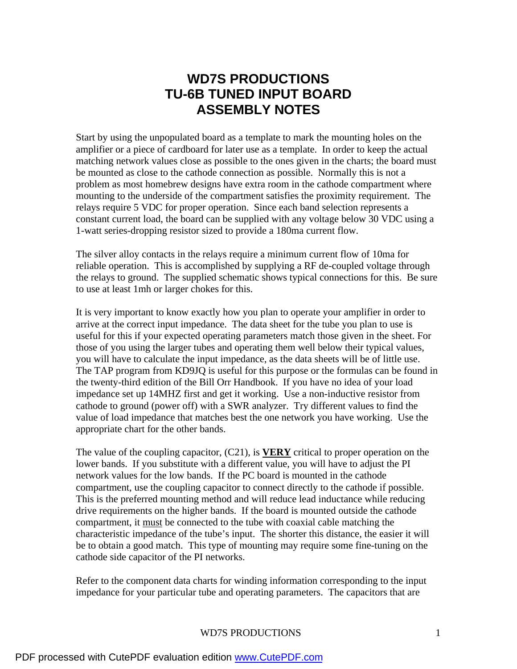# **WD7S PRODUCTIONS TU-6B TUNED INPUT BOARD ASSEMBLY NOTES**

Start by using the unpopulated board as a template to mark the mounting holes on the amplifier or a piece of cardboard for later use as a template. In order to keep the actual matching network values close as possible to the ones given in the charts; the board must be mounted as close to the cathode connection as possible. Normally this is not a problem as most homebrew designs have extra room in the cathode compartment where mounting to the underside of the compartment satisfies the proximity requirement. The relays require 5 VDC for proper operation. Since each band selection represents a constant current load, the board can be supplied with any voltage below 30 VDC using a 1-watt series-dropping resistor sized to provide a 180ma current flow.

The silver alloy contacts in the relays require a minimum current flow of 10ma for reliable operation. This is accomplished by supplying a RF de-coupled voltage through the relays to ground. The supplied schematic shows typical connections for this. Be sure to use at least 1mh or larger chokes for this.

It is very important to know exactly how you plan to operate your amplifier in order to arrive at the correct input impedance. The data sheet for the tube you plan to use is useful for this if your expected operating parameters match those given in the sheet. For those of you using the larger tubes and operating them well below their typical values, you will have to calculate the input impedance, as the data sheets will be of little use. The TAP program from KD9JQ is useful for this purpose or the formulas can be found in the twenty-third edition of the Bill Orr Handbook. If you have no idea of your load impedance set up 14MHZ first and get it working. Use a non-inductive resistor from cathode to ground (power off) with a SWR analyzer. Try different values to find the value of load impedance that matches best the one network you have working. Use the appropriate chart for the other bands.

The value of the coupling capacitor, (C21), is **VERY** critical to proper operation on the lower bands. If you substitute with a different value, you will have to adjust the PI network values for the low bands. If the PC board is mounted in the cathode compartment, use the coupling capacitor to connect directly to the cathode if possible. This is the preferred mounting method and will reduce lead inductance while reducing drive requirements on the higher bands. If the board is mounted outside the cathode compartment, it must be connected to the tube with coaxial cable matching the characteristic impedance of the tube's input. The shorter this distance, the easier it will be to obtain a good match. This type of mounting may require some fine-tuning on the cathode side capacitor of the PI networks.

Refer to the component data charts for winding information corresponding to the input impedance for your particular tube and operating parameters. The capacitors that are

#### WD7S PRODUCTIONS 1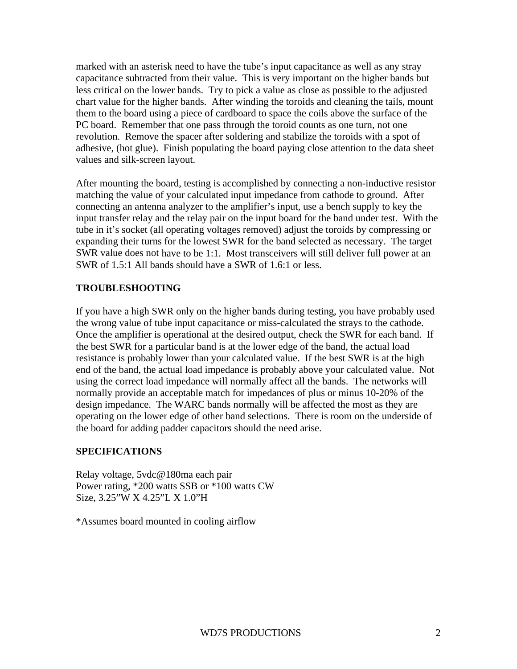marked with an asterisk need to have the tube's input capacitance as well as any stray capacitance subtracted from their value. This is very important on the higher bands but less critical on the lower bands. Try to pick a value as close as possible to the adjusted chart value for the higher bands. After winding the toroids and cleaning the tails, mount them to the board using a piece of cardboard to space the coils above the surface of the PC board. Remember that one pass through the toroid counts as one turn, not one revolution. Remove the spacer after soldering and stabilize the toroids with a spot of adhesive, (hot glue). Finish populating the board paying close attention to the data sheet values and silk-screen layout.

After mounting the board, testing is accomplished by connecting a non-inductive resistor matching the value of your calculated input impedance from cathode to ground. After connecting an antenna analyzer to the amplifier's input, use a bench supply to key the input transfer relay and the relay pair on the input board for the band under test. With the tube in it's socket (all operating voltages removed) adjust the toroids by compressing or expanding their turns for the lowest SWR for the band selected as necessary. The target SWR value does not have to be 1:1. Most transceivers will still deliver full power at an SWR of 1.5:1 All bands should have a SWR of 1.6:1 or less.

#### **TROUBLESHOOTING**

If you have a high SWR only on the higher bands during testing, you have probably used the wrong value of tube input capacitance or miss-calculated the strays to the cathode. Once the amplifier is operational at the desired output, check the SWR for each band. If the best SWR for a particular band is at the lower edge of the band, the actual load resistance is probably lower than your calculated value. If the best SWR is at the high end of the band, the actual load impedance is probably above your calculated value. Not using the correct load impedance will normally affect all the bands. The networks will normally provide an acceptable match for impedances of plus or minus 10-20% of the design impedance. The WARC bands normally will be affected the most as they are operating on the lower edge of other band selections. There is room on the underside of the board for adding padder capacitors should the need arise.

#### **SPECIFICATIONS**

Relay voltage, 5vdc@180ma each pair Power rating, \*200 watts SSB or \*100 watts CW Size, 3.25"W X 4.25"L X 1.0"H

\*Assumes board mounted in cooling airflow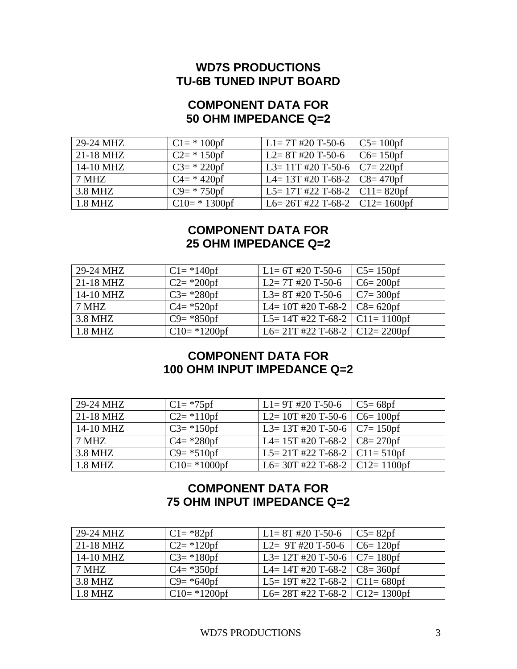## **WD7S PRODUCTIONS TU-6B TUNED INPUT BOARD**

#### **COMPONENT DATA FOR 50 OHM IMPEDANCE Q=2**

| 29-24 MHZ | $C1 = * 100$    | $L1 = 7T$ #20 T-50-6                 | $\vert$ C5= 100pf |
|-----------|-----------------|--------------------------------------|-------------------|
| 21-18 MHZ | $C2 = * 150$    | $L2 = 8T$ #20 T-50-6                 | $\vert$ C6= 150pf |
| 14-10 MHZ | $C3 = * 220$ pf | L3= 11T #20 T-50-6   C7= 220pf       |                   |
| 7 MHZ     | $C4 = * 420$ pf | L4= 13T #20 T-68-2 $\vert$ C8= 470pf |                   |
| 3.8 MHZ   | $C9=$ * 750pf   | L5= 17T #22 T-68-2   C11= 820pf      |                   |
| 1.8 MHZ   | $C10=$ * 1300pf | L6= $26T$ #22 T-68-2   C12= 1600pf   |                   |

### **COMPONENT DATA FOR 25 OHM IMPEDANCE Q=2**

| 29-24 MHZ   | $C1 = *140$ pf        | $\vert$ L <sub>1</sub> = 6T #20 T-50-6         | $C5 = 150$ pf |
|-------------|-----------------------|------------------------------------------------|---------------|
| $21-18$ MHZ | $C2 = *200 \text{p}f$ | $L2 = 7T$ #20 T-50-6                           | $C6 = 200$    |
| 14-10 MHZ   | $C3 = *280$ pf        | L3= 8T #20 T-50-6 $\vert$ C7= 300pf            |               |
| 7 MHZ       | $C4 = *520$           | L4= 10T #20 T-68-2 $\vert$ C8= 620pf           |               |
| 3.8 MHZ     | $C9 = *850$ pf        | $\vert$ L5= 14T #22 T-68-2 $\vert$ C11= 1100pf |               |
| 1.8 MHZ     | $C10=*1200$ pf        | L6= 21T #22 T-68-2   C12= 2200pf               |               |

#### **COMPONENT DATA FOR 100 OHM INPUT IMPEDANCE Q=2**

| 29-24 MHZ   | $C1 = *75$ pf  | $  L1 = 9T #20 T-50-6   C5 = 68pf$            |  |
|-------------|----------------|-----------------------------------------------|--|
| $21-18$ MHZ | $C2 = *110$    | L2= 10T #20 T-50-6   C6= 100pf                |  |
| 14-10 MHZ   | $C3 = *150$ pf | L3= 13T #20 T-50-6   C7= 150pf                |  |
| 7 MHZ       | $C4 = *280$    | L4= 15T #20 T-68-2 $\vert$ C8= 270pf          |  |
| 3.8 MHZ     | $C9 = *510pf$  | $\vert$ L5= 21T #22 T-68-2 $\vert$ C11= 510pf |  |
| $1.8$ MHZ   | $C10=*1000$ pf | L6= 30T #22 T-68-2   C12= 1100pf              |  |

## **COMPONENT DATA FOR 75 OHM INPUT IMPEDANCE Q=2**

| 29-24 MHZ   | $C1 = *82pf$          | $\vert$ L <sub>1</sub> = 8T #20 T-50-6                  | $C5 = 82pf$ |
|-------------|-----------------------|---------------------------------------------------------|-------------|
| $21-18$ MHZ | $C2 = *120pf$         | L <sub>2</sub> = 9T #20 T-50-6   C <sub>6</sub> = 120pf |             |
| 14-10 MHZ   | $C3 = *180$           | L3= 12T #20 T-50-6   C7= 180pf                          |             |
| 7 MHZ       | $C4 = *350 \text{p}f$ | $\mid$ L4= 14T #20 T-68-2 $\mid$ C8= 360pf              |             |
| 3.8 MHZ     | $C9 = *640pf$         | $ $ L5= 19T #22 T-68-2 $ $ C11= 680pf                   |             |
| 1.8 MHZ     | $C10=*1200$ pf        | L6= 28T #22 T-68-2   C12= 1300pf                        |             |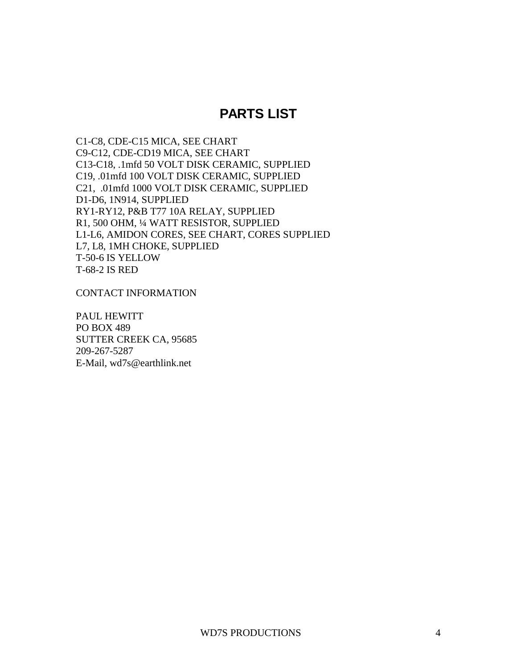## **PARTS LIST**

C1-C8, CDE-C15 MICA, SEE CHART C9-C12, CDE-CD19 MICA, SEE CHART C13-C18, .1mfd 50 VOLT DISK CERAMIC, SUPPLIED C19, .01mfd 100 VOLT DISK CERAMIC, SUPPLIED C21, .01mfd 1000 VOLT DISK CERAMIC, SUPPLIED D1-D6, 1N914, SUPPLIED RY1-RY12, P&B T77 10A RELAY, SUPPLIED R1, 500 OHM, ¼ WATT RESISTOR, SUPPLIED L1-L6, AMIDON CORES, SEE CHART, CORES SUPPLIED L7, L8, 1MH CHOKE, SUPPLIED T-50-6 IS YELLOW T-68-2 IS RED

CONTACT INFORMATION

PAUL HEWITT PO BOX 489 SUTTER CREEK CA, 95685 209-267-5287 E-Mail, wd7s@earthlink.net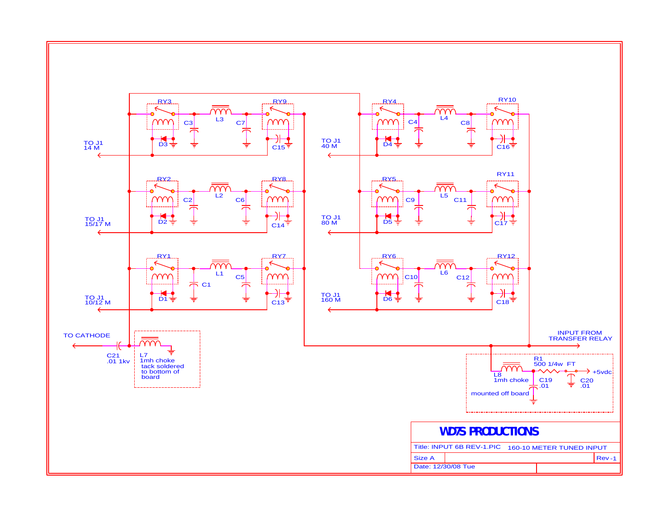